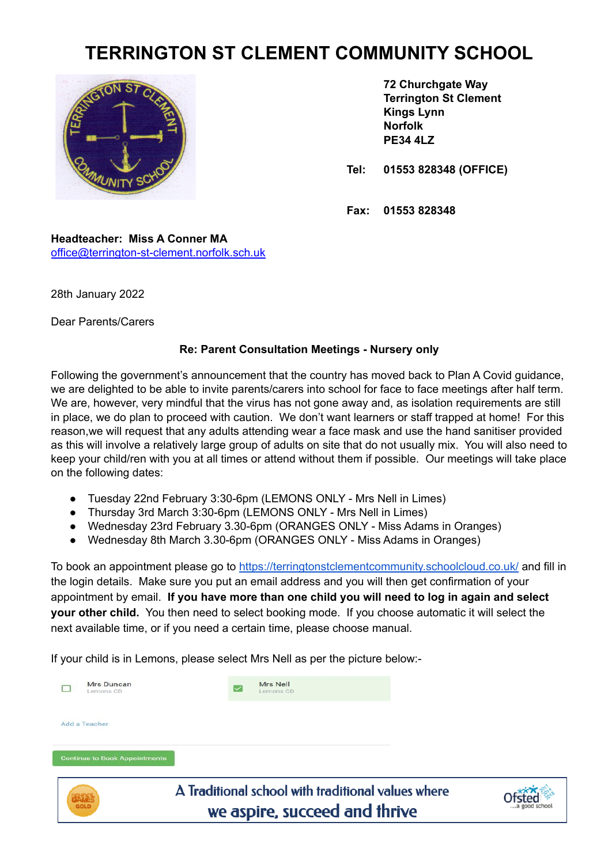## **TERRINGTON ST CLEMENT COMMUNITY SCHOOL**



**72 Churchgate Way Terrington St Clement Kings Lynn Norfolk PE34 4LZ**

**Tel: 01553 828348 (OFFICE)**

**Fax: 01553 828348**

**Headteacher: Miss A Conner MA** [office@terrington-st-clement.norfolk.sch.uk](mailto:office@terrington-st-clement.norfolk.sch.uk)

28th January 2022

Dear Parents/Carers

## **Re: Parent Consultation Meetings - Nursery only**

Following the government's announcement that the country has moved back to Plan A Covid guidance, we are delighted to be able to invite parents/carers into school for face to face meetings after half term. We are, however, very mindful that the virus has not gone away and, as isolation requirements are still in place, we do plan to proceed with caution. We don't want learners or staff trapped at home! For this reason,we will request that any adults attending wear a face mask and use the hand sanitiser provided as this will involve a relatively large group of adults on site that do not usually mix. You will also need to keep your child/ren with you at all times or attend without them if possible. Our meetings will take place on the following dates:

- Tuesday 22nd February 3:30-6pm (LEMONS ONLY Mrs Nell in Limes)
- Thursday 3rd March 3:30-6pm (LEMONS ONLY Mrs Nell in Limes)
- Wednesday 23rd February 3.30-6pm (ORANGES ONLY Miss Adams in Oranges)
- Wednesday 8th March 3.30-6pm (ORANGES ONLY Miss Adams in Oranges)

To book an appointment please go to <https://terringtonstclementcommunity.schoolcloud.co.uk/> and fill in the login details. Make sure you put an email address and you will then get confirmation of your appointment by email. **If you have more than one child you will need to log in again and select your other child.** You then need to select booking mode. If you choose automatic it will select the next available time, or if you need a certain time, please choose manual.

If your child is in Lemons, please select Mrs Nell as per the picture below:-